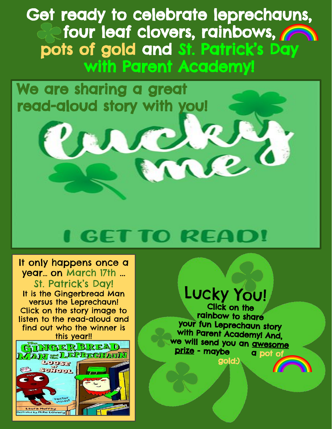Get ready to celebrate leprechauns, four leaf clovers, rainbows, **now** pots of gold and St. Patrick's Day with Parent Academy!

We are sharing a great read-aloud story with you!

# I GET TO READ!

JC.

[It only happens once a](https://youtu.be/nqEVRsDm1ng)  year… on March 17th ... St. Patrick's Day! It is the Gingerbread Man versus the Leprechaun! Click on the story image to listen to the read-aloud and find out who the winner is [this year!!](https://youtu.be/nqEVRsDm1ng)



## Lucky You!

Je (

Click on the<br>rainbow to share your fun Leprechaun story with Parent Academy! And, we will send you an awesome<br>prize - maybe a pot of prize - maybe gold:)